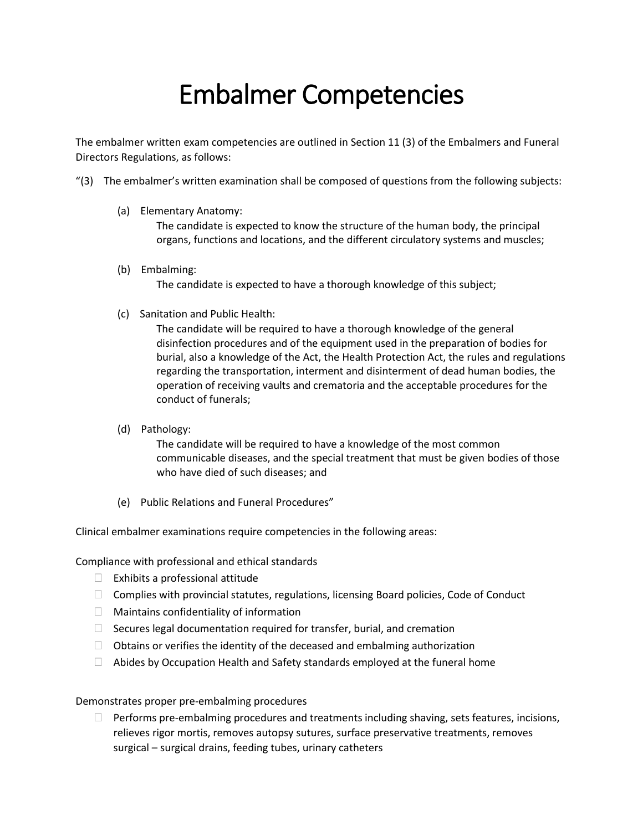## Embalmer Competencies

The embalmer written exam competencies are outlined in Section 11 (3) of the Embalmers and Funeral Directors Regulations, as follows:

- "(3) The embalmer's written examination shall be composed of questions from the following subjects:
	- (a) Elementary Anatomy:

The candidate is expected to know the structure of the human body, the principal organs, functions and locations, and the different circulatory systems and muscles;

(b) Embalming:

The candidate is expected to have a thorough knowledge of this subject;

(c) Sanitation and Public Health:

The candidate will be required to have a thorough knowledge of the general disinfection procedures and of the equipment used in the preparation of bodies for burial, also a knowledge of the Act, the Health Protection Act, the rules and regulations regarding the transportation, interment and disinterment of dead human bodies, the operation of receiving vaults and crematoria and the acceptable procedures for the conduct of funerals;

(d) Pathology:

The candidate will be required to have a knowledge of the most common communicable diseases, and the special treatment that must be given bodies of those who have died of such diseases; and

(e) Public Relations and Funeral Procedures"

Clinical embalmer examinations require competencies in the following areas:

Compliance with professional and ethical standards

- $\Box$  Exhibits a professional attitude
- $\Box$  Complies with provincial statutes, regulations, licensing Board policies, Code of Conduct
- $\Box$  Maintains confidentiality of information
- $\Box$  Secures legal documentation required for transfer, burial, and cremation
- $\Box$  Obtains or verifies the identity of the deceased and embalming authorization
- $\Box$  Abides by Occupation Health and Safety standards employed at the funeral home

Demonstrates proper pre-embalming procedures

 $\Box$  Performs pre-embalming procedures and treatments including shaving, sets features, incisions, relieves rigor mortis, removes autopsy sutures, surface preservative treatments, removes surgical – surgical drains, feeding tubes, urinary catheters